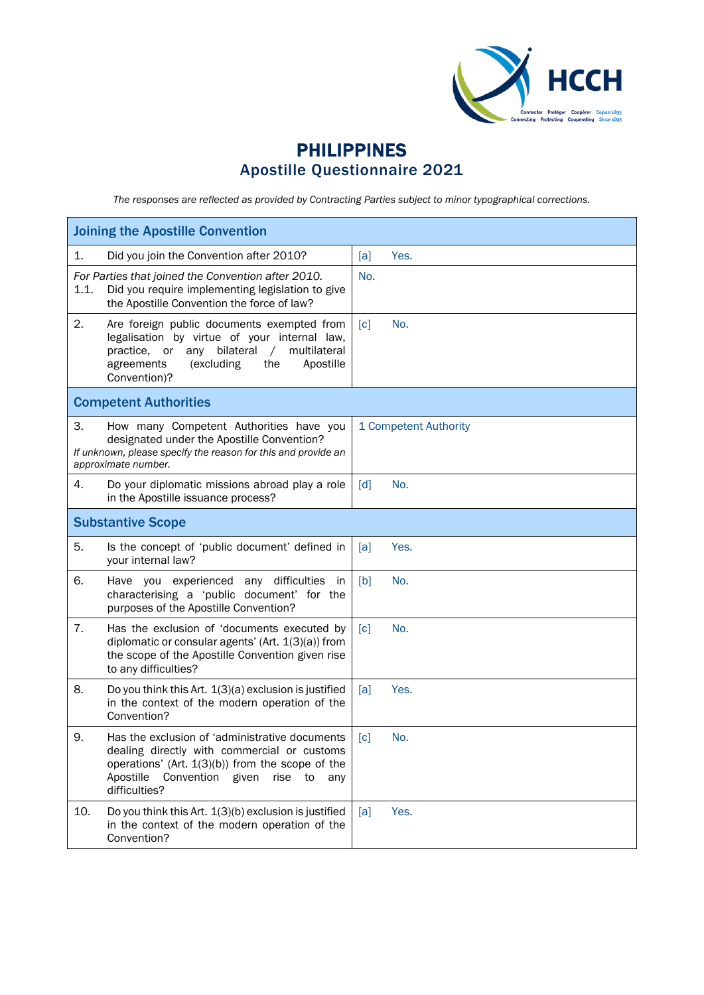

## PHILIPPINES Apostille Questionnaire 2021

*The responses are reflected as provided by Contracting Parties subject to minor typographical corrections.*

| <b>Joining the Apostille Convention</b>                                                                                                                                                                                               |                          |  |  |  |
|---------------------------------------------------------------------------------------------------------------------------------------------------------------------------------------------------------------------------------------|--------------------------|--|--|--|
| 1.<br>Did you join the Convention after 2010?                                                                                                                                                                                         | Yes.<br>[a]              |  |  |  |
| For Parties that joined the Convention after 2010.<br>1.1.<br>Did you require implementing legislation to give<br>the Apostille Convention the force of law?                                                                          | No.                      |  |  |  |
| 2.<br>Are foreign public documents exempted from<br>legalisation by virtue of your internal law,<br>bilateral<br>multilateral<br>practice,<br>or<br>any<br>$\sqrt{2}$<br>agreements<br>(excluding<br>the<br>Apostille<br>Convention)? | $\lceil c \rceil$<br>No. |  |  |  |
| <b>Competent Authorities</b>                                                                                                                                                                                                          |                          |  |  |  |
| 3.<br>How many Competent Authorities have you<br>designated under the Apostille Convention?<br>If unknown, please specify the reason for this and provide an<br>approximate number.                                                   | 1 Competent Authority    |  |  |  |
| Do your diplomatic missions abroad play a role<br>4.<br>in the Apostille issuance process?                                                                                                                                            | $\lceil d \rceil$<br>No. |  |  |  |
| <b>Substantive Scope</b>                                                                                                                                                                                                              |                          |  |  |  |
| 5.<br>Is the concept of 'public document' defined in<br>your internal law?                                                                                                                                                            | Yes.<br>[a]              |  |  |  |
| 6.<br>Have you experienced any difficulties<br>in<br>characterising a 'public document' for the<br>purposes of the Apostille Convention?                                                                                              | [b]<br>No.               |  |  |  |
| 7.<br>Has the exclusion of 'documents executed by<br>diplomatic or consular agents' (Art. 1(3)(a)) from<br>the scope of the Apostille Convention given rise<br>to any difficulties?                                                   | No.<br>$\lceil c \rceil$ |  |  |  |
| 8.<br>Do you think this Art. $1(3)(a)$ exclusion is justified<br>in the context of the modern operation of the<br>Convention?                                                                                                         | Yes.<br>[a]              |  |  |  |
| 9.<br>Has the exclusion of 'administrative documents<br>dealing directly with commercial or customs<br>operations' (Art. $1(3)(b)$ ) from the scope of the<br>Apostille<br>Convention<br>given<br>rise<br>to<br>any<br>difficulties?  | [c]<br>No.               |  |  |  |
| 10.<br>Do you think this Art. 1(3)(b) exclusion is justified<br>in the context of the modern operation of the<br>Convention?                                                                                                          | Yes.<br>[a]              |  |  |  |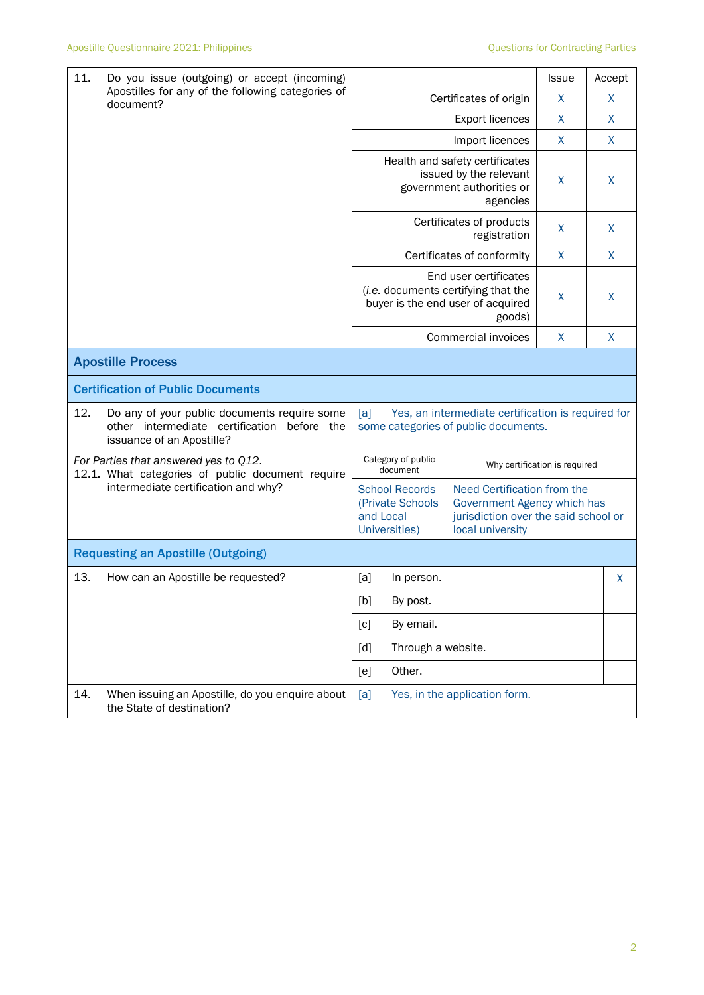| 11.<br>Do you issue (outgoing) or accept (incoming)<br>Apostilles for any of the following categories of<br>document? |                                                                                                                             |                                                                                                                                                                                                                                                                                                                                                                                                                                                                                                                                                                             |                            |                                                                                                                        | <b>Issue</b> | Accept       |
|-----------------------------------------------------------------------------------------------------------------------|-----------------------------------------------------------------------------------------------------------------------------|-----------------------------------------------------------------------------------------------------------------------------------------------------------------------------------------------------------------------------------------------------------------------------------------------------------------------------------------------------------------------------------------------------------------------------------------------------------------------------------------------------------------------------------------------------------------------------|----------------------------|------------------------------------------------------------------------------------------------------------------------|--------------|--------------|
|                                                                                                                       |                                                                                                                             | Certificates of origin                                                                                                                                                                                                                                                                                                                                                                                                                                                                                                                                                      |                            |                                                                                                                        | X            | X            |
|                                                                                                                       |                                                                                                                             |                                                                                                                                                                                                                                                                                                                                                                                                                                                                                                                                                                             |                            | <b>Export licences</b>                                                                                                 | X            | X            |
|                                                                                                                       |                                                                                                                             |                                                                                                                                                                                                                                                                                                                                                                                                                                                                                                                                                                             |                            | Import licences                                                                                                        | X            | $\mathsf{X}$ |
|                                                                                                                       |                                                                                                                             | Health and safety certificates<br>issued by the relevant<br>government authorities or<br>agencies                                                                                                                                                                                                                                                                                                                                                                                                                                                                           |                            |                                                                                                                        | X            | X            |
|                                                                                                                       |                                                                                                                             |                                                                                                                                                                                                                                                                                                                                                                                                                                                                                                                                                                             |                            | Certificates of products<br>registration                                                                               | X            | X            |
|                                                                                                                       |                                                                                                                             |                                                                                                                                                                                                                                                                                                                                                                                                                                                                                                                                                                             |                            | Certificates of conformity                                                                                             | X            | $\mathsf{X}$ |
|                                                                                                                       |                                                                                                                             | End user certificates<br>(i.e. documents certifying that the<br>buyer is the end user of acquired<br>goods)                                                                                                                                                                                                                                                                                                                                                                                                                                                                 |                            |                                                                                                                        | X            | X            |
|                                                                                                                       |                                                                                                                             |                                                                                                                                                                                                                                                                                                                                                                                                                                                                                                                                                                             | <b>Commercial invoices</b> | $\mathsf{X}$                                                                                                           | $\mathsf{X}$ |              |
|                                                                                                                       | <b>Apostille Process</b>                                                                                                    |                                                                                                                                                                                                                                                                                                                                                                                                                                                                                                                                                                             |                            |                                                                                                                        |              |              |
|                                                                                                                       | <b>Certification of Public Documents</b>                                                                                    |                                                                                                                                                                                                                                                                                                                                                                                                                                                                                                                                                                             |                            |                                                                                                                        |              |              |
| 12.                                                                                                                   | Do any of your public documents require some<br>other intermediate certification<br>before the<br>issuance of an Apostille? | Yes, an intermediate certification is required for<br>[a]<br>some categories of public documents.                                                                                                                                                                                                                                                                                                                                                                                                                                                                           |                            |                                                                                                                        |              |              |
| For Parties that answered yes to Q12.<br>12.1. What categories of public document require                             |                                                                                                                             | Category of public<br>Why certification is required<br>document                                                                                                                                                                                                                                                                                                                                                                                                                                                                                                             |                            |                                                                                                                        |              |              |
|                                                                                                                       | intermediate certification and why?                                                                                         | <b>School Records</b><br>(Private Schools<br>and Local<br>Universities)                                                                                                                                                                                                                                                                                                                                                                                                                                                                                                     |                            | Need Certification from the<br>Government Agency which has<br>jurisdiction over the said school or<br>local university |              |              |
| <b>Requesting an Apostille (Outgoing)</b>                                                                             |                                                                                                                             |                                                                                                                                                                                                                                                                                                                                                                                                                                                                                                                                                                             |                            |                                                                                                                        |              |              |
| 13.                                                                                                                   | How can an Apostille be requested?                                                                                          | [a]                                                                                                                                                                                                                                                                                                                                                                                                                                                                                                                                                                         | In person.                 |                                                                                                                        |              | X            |
|                                                                                                                       |                                                                                                                             | $[b] \centering% \includegraphics[width=1.0\textwidth]{figs/fig_0a}% \includegraphics[width=1.0\textwidth]{figs/fig_0b}% \includegraphics[width=1.0\textwidth]{figs/fig_0b}% \includegraphics[width=1.0\textwidth]{figs/fig_0b}% \includegraphics[width=1.0\textwidth]{figs/fig_0b}% \includegraphics[width=1.0\textwidth]{figs/fig_0b}% \includegraphics[width=1.0\textwidth]{figs/fig_0b}% \includegraphics[width=1.0\textwidth]{figs/fig_0b}% \includegraphics[width=1.0\textwidth]{figs/fig_0b}% \includegraphics[width=1.0\textwidth]{figs/fig_0b}% \includegraphics[$ | By post.                   |                                                                                                                        |              |              |
|                                                                                                                       |                                                                                                                             | [c]                                                                                                                                                                                                                                                                                                                                                                                                                                                                                                                                                                         | By email.                  |                                                                                                                        |              |              |
|                                                                                                                       |                                                                                                                             | [d]                                                                                                                                                                                                                                                                                                                                                                                                                                                                                                                                                                         | Through a website.         |                                                                                                                        |              |              |
|                                                                                                                       |                                                                                                                             | [e]                                                                                                                                                                                                                                                                                                                                                                                                                                                                                                                                                                         | Other.                     |                                                                                                                        |              |              |
| 14.                                                                                                                   | When issuing an Apostille, do you enquire about<br>the State of destination?                                                | [a]                                                                                                                                                                                                                                                                                                                                                                                                                                                                                                                                                                         |                            | Yes, in the application form.                                                                                          |              |              |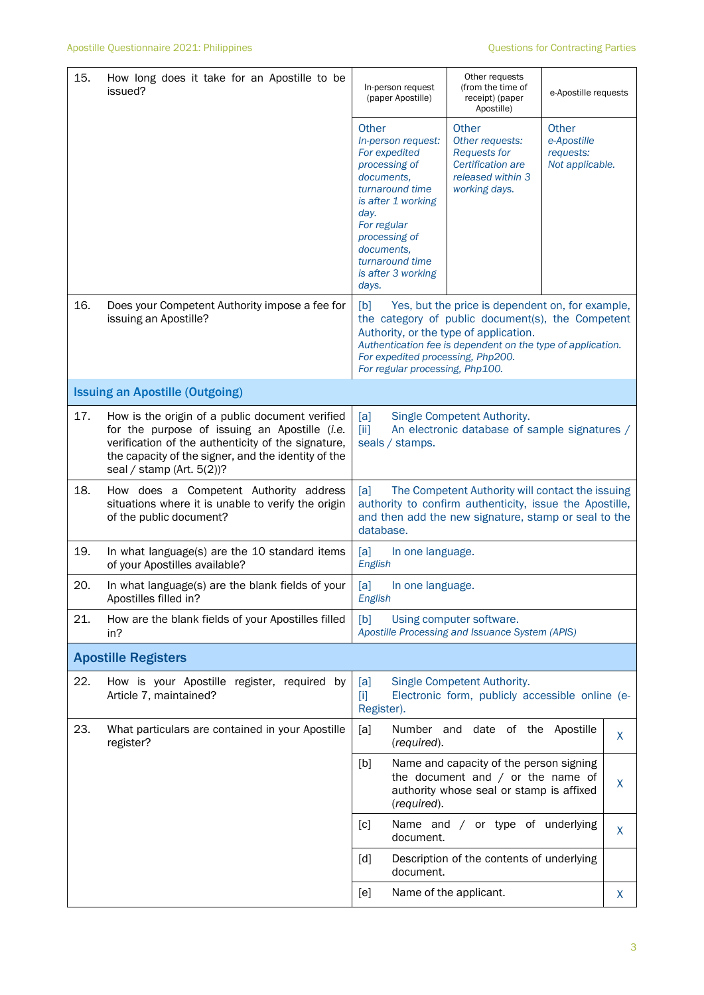| 15. | How long does it take for an Apostille to be<br>issued?                                                                                                                                                                                       | In-person request<br>(paper Apostille)                                                                                                                                                                                                                                                        | Other requests<br>(from the time of<br>receipt) (paper<br>Apostille)                                                       | e-Apostille requests                                 |
|-----|-----------------------------------------------------------------------------------------------------------------------------------------------------------------------------------------------------------------------------------------------|-----------------------------------------------------------------------------------------------------------------------------------------------------------------------------------------------------------------------------------------------------------------------------------------------|----------------------------------------------------------------------------------------------------------------------------|------------------------------------------------------|
|     |                                                                                                                                                                                                                                               | Other<br>In-person request:<br>For expedited<br>processing of<br>documents,<br>turnaround time<br>is after 1 working<br>day.<br>For regular<br>processing of<br>documents,<br>turnaround time<br>is after 3 working<br>days.                                                                  | <b>Other</b><br>Other requests:<br><b>Requests for</b><br>Certification are<br>released within 3<br>working days.          | Other<br>e-Apostille<br>requests:<br>Not applicable. |
| 16. | Does your Competent Authority impose a fee for<br>issuing an Apostille?                                                                                                                                                                       | Yes, but the price is dependent on, for example,<br>[b]<br>the category of public document(s), the Competent<br>Authority, or the type of application.<br>Authentication fee is dependent on the type of application.<br>For expedited processing, Php200.<br>For regular processing, Php100. |                                                                                                                            |                                                      |
|     | <b>Issuing an Apostille (Outgoing)</b>                                                                                                                                                                                                        |                                                                                                                                                                                                                                                                                               |                                                                                                                            |                                                      |
| 17. | How is the origin of a public document verified<br>for the purpose of issuing an Apostille (i.e.<br>verification of the authenticity of the signature,<br>the capacity of the signer, and the identity of the<br>seal / stamp (Art. $5(2)$ )? | Single Competent Authority.<br>[a]<br>[iii]<br>An electronic database of sample signatures /<br>seals / stamps.                                                                                                                                                                               |                                                                                                                            |                                                      |
| 18. | How does a Competent Authority address<br>situations where it is unable to verify the origin<br>of the public document?                                                                                                                       | The Competent Authority will contact the issuing<br>[a]<br>authority to confirm authenticity, issue the Apostille,<br>and then add the new signature, stamp or seal to the<br>database.                                                                                                       |                                                                                                                            |                                                      |
| 19. | In what language(s) are the 10 standard items<br>of your Apostilles available?                                                                                                                                                                | [a]<br>In one language.<br>English                                                                                                                                                                                                                                                            |                                                                                                                            |                                                      |
| 20. | In what language(s) are the blank fields of your<br>Apostilles filled in?                                                                                                                                                                     | [a]<br>In one language.<br>English                                                                                                                                                                                                                                                            |                                                                                                                            |                                                      |
| 21. | How are the blank fields of your Apostilles filled<br>in?                                                                                                                                                                                     | [b]<br>Using computer software.<br>Apostille Processing and Issuance System (APIS)                                                                                                                                                                                                            |                                                                                                                            |                                                      |
|     | <b>Apostille Registers</b>                                                                                                                                                                                                                    |                                                                                                                                                                                                                                                                                               |                                                                                                                            |                                                      |
| 22. | How is your Apostille register, required by<br>Article 7, maintained?                                                                                                                                                                         | [a]<br>$[1]$<br>Register).                                                                                                                                                                                                                                                                    | Single Competent Authority.<br>Electronic form, publicly accessible online (e-                                             |                                                      |
| 23. | What particulars are contained in your Apostille<br>register?                                                                                                                                                                                 | [a]<br>Number and<br>(required).                                                                                                                                                                                                                                                              | date of the                                                                                                                | Apostille<br>X                                       |
|     |                                                                                                                                                                                                                                               | [b]<br>(required).                                                                                                                                                                                                                                                                            | Name and capacity of the person signing<br>the document and $/$ or the name of<br>authority whose seal or stamp is affixed | X                                                    |
|     |                                                                                                                                                                                                                                               | [c]<br>document.                                                                                                                                                                                                                                                                              | Name and / or type of underlying                                                                                           | X                                                    |
|     |                                                                                                                                                                                                                                               | [d]<br>document.                                                                                                                                                                                                                                                                              | Description of the contents of underlying                                                                                  |                                                      |
|     |                                                                                                                                                                                                                                               | [e]                                                                                                                                                                                                                                                                                           | Name of the applicant.                                                                                                     | X                                                    |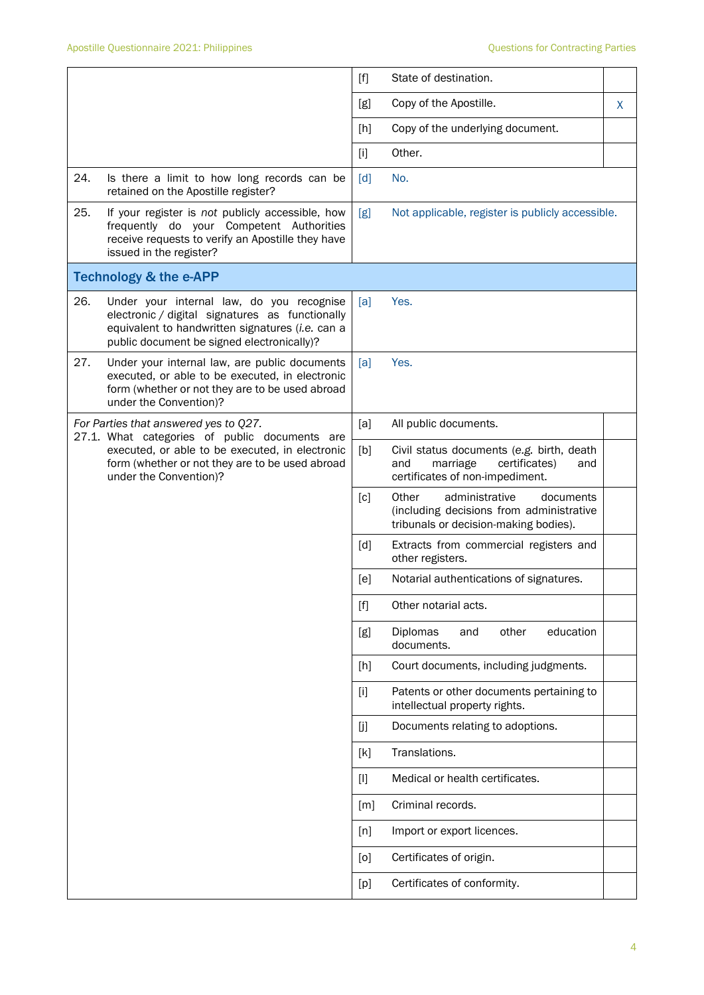|     |                                                                                                                                                                                                | $[f]$             | State of destination.                                                                                                     |   |
|-----|------------------------------------------------------------------------------------------------------------------------------------------------------------------------------------------------|-------------------|---------------------------------------------------------------------------------------------------------------------------|---|
|     |                                                                                                                                                                                                | [g]               | Copy of the Apostille.                                                                                                    | X |
|     |                                                                                                                                                                                                | [h]               | Copy of the underlying document.                                                                                          |   |
|     |                                                                                                                                                                                                | $[1]$             | Other.                                                                                                                    |   |
| 24. | Is there a limit to how long records can be<br>retained on the Apostille register?                                                                                                             | $\lceil d \rceil$ | No.                                                                                                                       |   |
| 25. | If your register is not publicly accessible, how<br>frequently do your Competent Authorities<br>receive requests to verify an Apostille they have<br>issued in the register?                   | [g]               | Not applicable, register is publicly accessible.                                                                          |   |
|     | <b>Technology &amp; the e-APP</b>                                                                                                                                                              |                   |                                                                                                                           |   |
| 26. | Under your internal law, do you recognise<br>electronic / digital signatures as functionally<br>equivalent to handwritten signatures (i.e. can a<br>public document be signed electronically)? | [a]               | Yes.                                                                                                                      |   |
| 27. | Under your internal law, are public documents<br>executed, or able to be executed, in electronic<br>form (whether or not they are to be used abroad<br>under the Convention)?                  | [a]               | Yes.                                                                                                                      |   |
|     | For Parties that answered yes to Q27.<br>27.1. What categories of public documents are                                                                                                         | [a]               | All public documents.                                                                                                     |   |
|     | executed, or able to be executed, in electronic<br>form (whether or not they are to be used abroad<br>under the Convention)?                                                                   | [b]               | Civil status documents (e.g. birth, death<br>marriage<br>certificates)<br>and<br>and<br>certificates of non-impediment.   |   |
|     |                                                                                                                                                                                                | $\lceil c \rceil$ | Other<br>administrative<br>documents<br>(including decisions from administrative<br>tribunals or decision-making bodies). |   |
|     |                                                                                                                                                                                                | [d]               | Extracts from commercial registers and<br>other registers.                                                                |   |
|     |                                                                                                                                                                                                | [e]               | Notarial authentications of signatures.                                                                                   |   |
|     |                                                                                                                                                                                                | $[f]$             | Other notarial acts.                                                                                                      |   |
|     |                                                                                                                                                                                                | [g]               | education<br>Diplomas<br>other<br>and<br>documents.                                                                       |   |
|     |                                                                                                                                                                                                | [h]               | Court documents, including judgments.                                                                                     |   |
|     |                                                                                                                                                                                                | $[1]$             | Patents or other documents pertaining to<br>intellectual property rights.                                                 |   |
|     |                                                                                                                                                                                                | [j]               | Documents relating to adoptions.                                                                                          |   |
|     |                                                                                                                                                                                                | [k]               | Translations.                                                                                                             |   |
|     |                                                                                                                                                                                                | $[1]$             | Medical or health certificates.                                                                                           |   |
|     |                                                                                                                                                                                                | [m]               | Criminal records.                                                                                                         |   |
|     |                                                                                                                                                                                                | [n]               | Import or export licences.                                                                                                |   |
|     |                                                                                                                                                                                                | [0]               | Certificates of origin.                                                                                                   |   |
|     |                                                                                                                                                                                                | [p]               | Certificates of conformity.                                                                                               |   |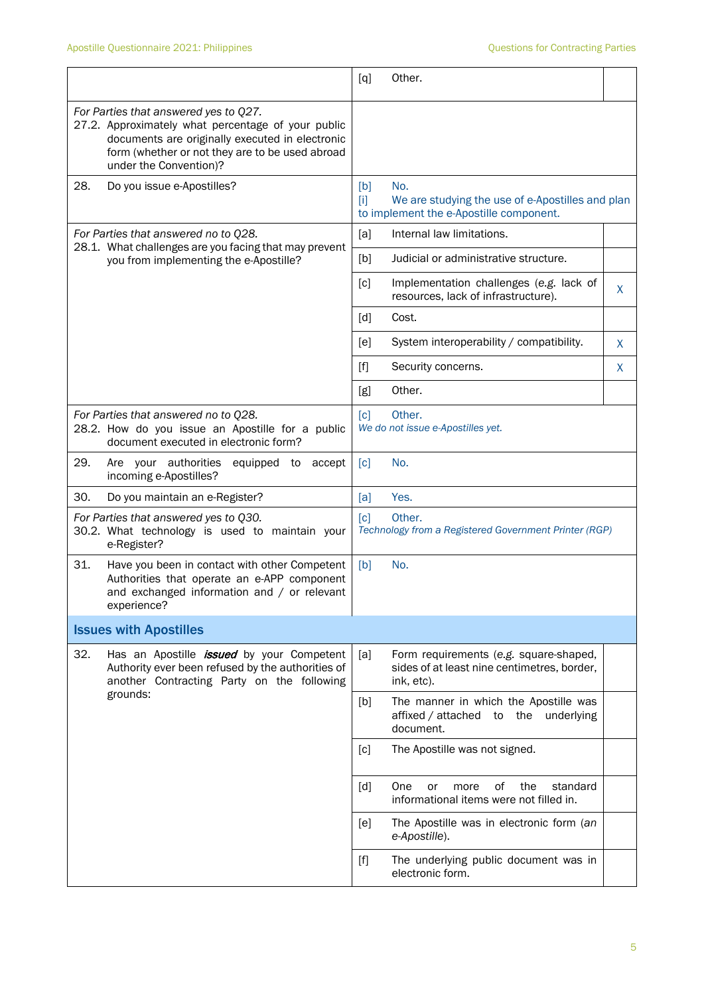|                                                                                               |                                                                                                                                                                                                   | [q]                                                                                                                                                                                                                                                   | Other.                                                                                              |    |
|-----------------------------------------------------------------------------------------------|---------------------------------------------------------------------------------------------------------------------------------------------------------------------------------------------------|-------------------------------------------------------------------------------------------------------------------------------------------------------------------------------------------------------------------------------------------------------|-----------------------------------------------------------------------------------------------------|----|
| under the Convention)?                                                                        | For Parties that answered yes to Q27.<br>27.2. Approximately what percentage of your public<br>documents are originally executed in electronic<br>form (whether or not they are to be used abroad |                                                                                                                                                                                                                                                       |                                                                                                     |    |
| 28.                                                                                           | Do you issue e-Apostilles?                                                                                                                                                                        | [b]<br>$[1]$                                                                                                                                                                                                                                          | No.<br>We are studying the use of e-Apostilles and plan<br>to implement the e-Apostille component.  |    |
| For Parties that answered no to Q28.<br>28.1. What challenges are you facing that may prevent |                                                                                                                                                                                                   | [a]                                                                                                                                                                                                                                                   | Internal law limitations.                                                                           |    |
|                                                                                               | you from implementing the e-Apostille?                                                                                                                                                            | [b]                                                                                                                                                                                                                                                   | Judicial or administrative structure.                                                               |    |
|                                                                                               |                                                                                                                                                                                                   | [c]                                                                                                                                                                                                                                                   | Implementation challenges (e.g. lack of<br>resources, lack of infrastructure).                      | X. |
|                                                                                               |                                                                                                                                                                                                   | [d]                                                                                                                                                                                                                                                   | Cost.                                                                                               |    |
|                                                                                               |                                                                                                                                                                                                   | [e]                                                                                                                                                                                                                                                   | System interoperability / compatibility.                                                            | X  |
|                                                                                               |                                                                                                                                                                                                   | $[f]$                                                                                                                                                                                                                                                 | Security concerns.                                                                                  | X  |
|                                                                                               |                                                                                                                                                                                                   | [g]                                                                                                                                                                                                                                                   | Other.                                                                                              |    |
|                                                                                               | For Parties that answered no to Q28.<br>28.2. How do you issue an Apostille for a public<br>document executed in electronic form?                                                                 | $\lceil c \rceil$                                                                                                                                                                                                                                     | Other.<br>We do not issue e-Apostilles yet.                                                         |    |
| 29.<br>incoming e-Apostilles?                                                                 | Are your authorities<br>equipped to<br>accept                                                                                                                                                     | $\lceil c \rceil$                                                                                                                                                                                                                                     | No.                                                                                                 |    |
| 30.                                                                                           | Do you maintain an e-Register?                                                                                                                                                                    | [a]                                                                                                                                                                                                                                                   | Yes.                                                                                                |    |
| e-Register?                                                                                   | For Parties that answered yes to Q30.<br>30.2. What technology is used to maintain your                                                                                                           | [c]                                                                                                                                                                                                                                                   | Other.<br>Technology from a Registered Government Printer (RGP)                                     |    |
| 31.<br>experience?                                                                            | Have you been in contact with other Competent<br>Authorities that operate an e-APP component<br>and exchanged information and / or relevant                                                       | [b]                                                                                                                                                                                                                                                   | No.                                                                                                 |    |
| <b>Issues with Apostilles</b>                                                                 |                                                                                                                                                                                                   |                                                                                                                                                                                                                                                       |                                                                                                     |    |
| 32.                                                                                           | Has an Apostille <i>issued</i> by your Competent<br>Authority ever been refused by the authorities of<br>another Contracting Party on the following                                               | [a]                                                                                                                                                                                                                                                   | Form requirements (e.g. square-shaped,<br>sides of at least nine centimetres, border,<br>ink, etc). |    |
| grounds:                                                                                      |                                                                                                                                                                                                   | [b]                                                                                                                                                                                                                                                   | The manner in which the Apostille was<br>affixed / attached to the underlying<br>document.          |    |
|                                                                                               |                                                                                                                                                                                                   | [c]                                                                                                                                                                                                                                                   | The Apostille was not signed.                                                                       |    |
|                                                                                               |                                                                                                                                                                                                   | [d]                                                                                                                                                                                                                                                   | One<br>0f<br>the<br>standard<br>or<br>more<br>informational items were not filled in.               |    |
|                                                                                               |                                                                                                                                                                                                   | [e]                                                                                                                                                                                                                                                   | The Apostille was in electronic form (an<br>e-Apostille).                                           |    |
|                                                                                               |                                                                                                                                                                                                   | $[f] % \begin{center} % \includegraphics[width=\linewidth]{imagesSupplemental_3.png} % \end{center} % \caption { % Our method can be used for the use of the image. % Note that the \emph{Left:} \label{fig:case} \vspace{-1em} % \label{fig:case} %$ | The underlying public document was in<br>electronic form.                                           |    |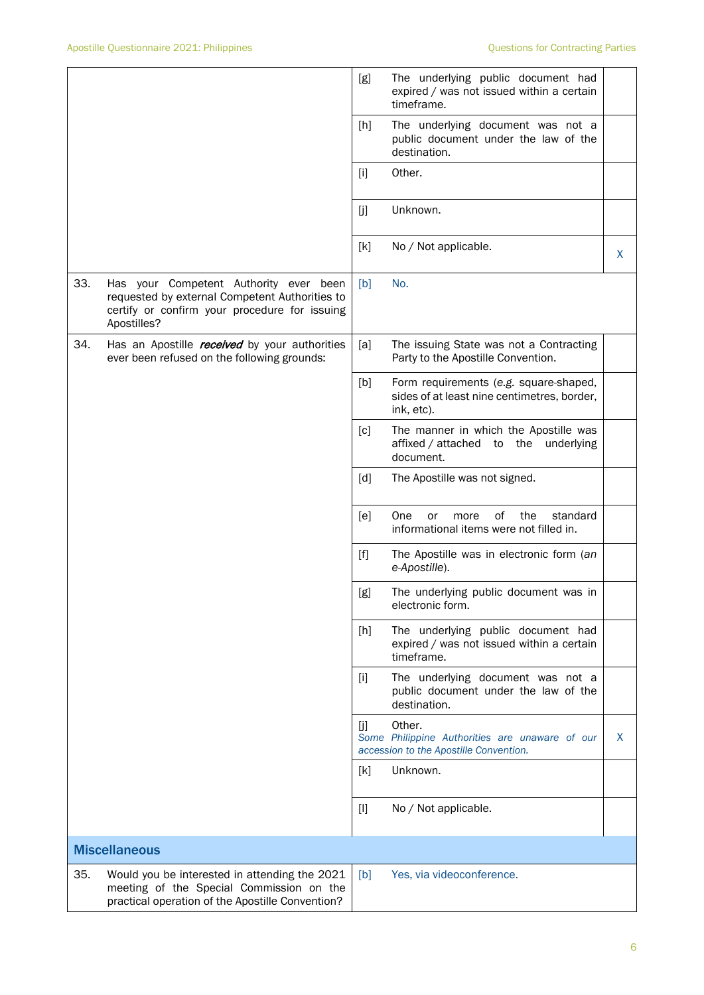|     |                                                                                                                                                          | [g]   | The underlying public document had<br>expired / was not issued within a certain<br>timeframe.       |   |
|-----|----------------------------------------------------------------------------------------------------------------------------------------------------------|-------|-----------------------------------------------------------------------------------------------------|---|
|     |                                                                                                                                                          | [h]   | The underlying document was not a<br>public document under the law of the<br>destination.           |   |
|     |                                                                                                                                                          | $[1]$ | Other.                                                                                              |   |
|     |                                                                                                                                                          | [j]   | Unknown.                                                                                            |   |
|     |                                                                                                                                                          | [k]   | No / Not applicable.                                                                                | X |
| 33. | Has your Competent Authority ever been<br>requested by external Competent Authorities to<br>certify or confirm your procedure for issuing<br>Apostilles? | [b]   | No.                                                                                                 |   |
| 34. | Has an Apostille <i>received</i> by your authorities<br>ever been refused on the following grounds:                                                      | [a]   | The issuing State was not a Contracting<br>Party to the Apostille Convention.                       |   |
|     |                                                                                                                                                          | [b]   | Form requirements (e.g. square-shaped,<br>sides of at least nine centimetres, border,<br>ink, etc). |   |
|     |                                                                                                                                                          | [c]   | The manner in which the Apostille was<br>affixed / attached to the underlying<br>document.          |   |
|     |                                                                                                                                                          | [d]   | The Apostille was not signed.                                                                       |   |
|     |                                                                                                                                                          | [e]   | One<br>0f<br>the<br>standard<br>or<br>more<br>informational items were not filled in.               |   |
|     |                                                                                                                                                          | $[f]$ | The Apostille was in electronic form (an<br>e-Apostille).                                           |   |
|     |                                                                                                                                                          | [g]   | The underlying public document was in<br>electronic form.                                           |   |
|     |                                                                                                                                                          | $[h]$ | The underlying public document had<br>expired / was not issued within a certain<br>timeframe.       |   |
|     |                                                                                                                                                          | $[1]$ | The underlying document was not a<br>public document under the law of the<br>destination.           |   |
|     |                                                                                                                                                          | [j]   | Other.<br>Some Philippine Authorities are unaware of our<br>accession to the Apostille Convention.  | X |
|     |                                                                                                                                                          | [k]   | Unknown.                                                                                            |   |
|     |                                                                                                                                                          | $[1]$ | No / Not applicable.                                                                                |   |
|     | <b>Miscellaneous</b>                                                                                                                                     |       |                                                                                                     |   |
| 35. | Would you be interested in attending the 2021<br>meeting of the Special Commission on the<br>practical operation of the Apostille Convention?            | [b]   | Yes, via videoconference.                                                                           |   |